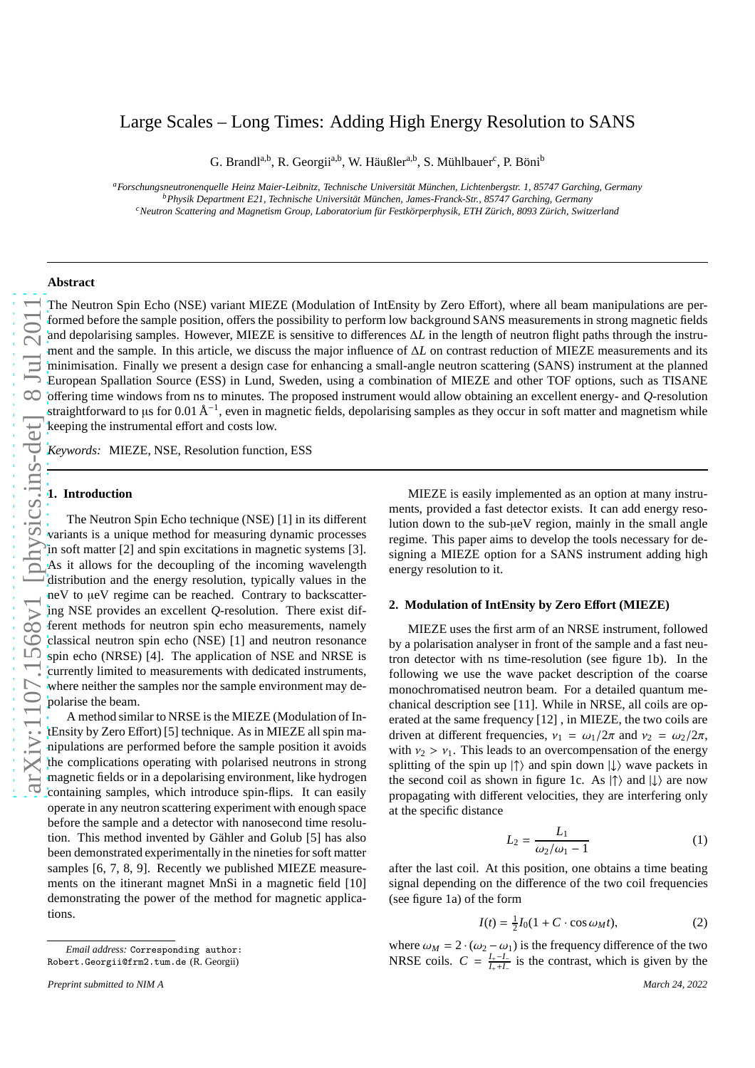# Large Scales – Long Times: Adding High Energy Resolution to SANS

G. Brandl<sup>a,b</sup>, R. Georgii<sup>a,b</sup>, W. Häußler<sup>a,b</sup>, S. Mühlbauer<sup>c</sup>, P. Böni<sup>b</sup>

*<sup>a</sup>Forschungsneutronenquelle Heinz Maier-Leibnitz, Technische Universität München, Lichtenbergstr. 1, 85747 Garching, Germany <sup>b</sup>Physik Department E21, Technische Universität München, James-Franck-Str., 85747 Garching, Germany <sup>c</sup>Neutron Scattering and Magnetism Group, Laboratorium für Festkörperphysik, ETH Zürich, 8093 Zürich, Switzerland*

#### **Abstract**

The Neutron Spin Echo (NSE) variant MIEZE (Modulation of IntEnsity by Zero Effort), where all beam manipulations are performed before the sample position, offers the possibility to perform low background SANS measurements in strong magnetic fields and depolarising samples. However, MIEZE is sensitive to differences ∆*L* in the length of neutron flight paths through the instrument and the sample. In this article, we discuss the major influence of ∆*L* on contrast reduction of MIEZE measurements and its minimisation. Finally we present a design case for enhancing a small-angle neutron scattering (SANS) instrument at the planned European Spallation Source (ESS) in Lund, Sweden, using a combination of MIEZE and other TOF options, such as TISANE offering time windows from ns to minutes. The proposed instrument would allow obtaining an excellent energy- and *Q*-resolution straightforward to µs for 0.01 Å<sup>−1</sup>, even in magnetic fields, depolarising samples as they occur in soft matter and magnetism while keeping the instrumental effort and costs low.

*Keywords:* MIEZE, NSE, Resolution function, ESS

#### **1. Introduction**

The Neutron Spin Echo technique (NSE) [1] in its different variants is a unique method for measuring dynamic processes in soft matter [2] and spin excitations in magnetic systems [3]. As it allows for the decoupling of the incoming wavelength distribution and the energy resolution, typically values in the neV to µeV regime can be reached. Contrary to backscattering NSE provides an excellent *Q*-resolution. There exist different methods for neutron spin echo measurements, namely classical neutron spin echo (NSE) [1] and neutron resonance spin echo (NRSE) [4]. The application of NSE and NRSE is currently limited to measurements with dedicated instruments, where neither the samples nor the sample environment may depolarise the beam.

A method similar to NRSE is the MIEZE (Modulation of IntEnsity by Zero Effort) [5] technique. As in MIEZE all spin manipulations are performed before the sample position it avoids the complications operating with polarised neutrons in strong magnetic fields or in a depolarising environment, like hydrogen containing samples, which introduce spin-flips. It can easily operate in any neutron scattering experiment with enough space before the sample and a detector with nanosecond time resolution. This method invented by Gähler and Golub [5] has also been demonstrated experimentally in the nineties for soft matter samples [6, 7, 8, 9]. Recently we published MIEZE measurements on the itinerant magnet MnSi in a magnetic field [10] demonstrating the power of the method for magnetic applications.

MIEZE is easily implemented as an option at many instruments, provided a fast detector exists. It can add energy resolution down to the sub-µeV region, mainly in the small angle regime. This paper aims to develop the tools necessary for designing a MIEZE option for a SANS instrument adding high energy resolution to it.

## **2. Modulation of IntEnsity by Zero E**ff**ort (MIEZE)**

MIEZE uses the first arm of an NRSE instrument, followed by a polarisation analyser in front of the sample and a fast neutron detector with ns time-resolution (see figure 1b). In the following we use the wave packet description of the coarse monochromatised neutron beam. For a detailed quantum mechanical description see [11]. While in NRSE, all coils are operated at the same frequency [12] , in MIEZE, the two coils are driven at different frequencies,  $v_1 = \omega_1/2\pi$  and  $v_2 = \omega_2/2\pi$ , with  $v_2 > v_1$ . This leads to an overcompensation of the energy splitting of the spin up  $|\uparrow\rangle$  and spin down  $|\downarrow\rangle$  wave packets in the second coil as shown in figure 1c. As  $|\uparrow\rangle$  and  $|\downarrow\rangle$  are now propagating with different velocities, they are interfering only at the specific distance

$$
L_2 = \frac{L_1}{\omega_2/\omega_1 - 1} \tag{1}
$$

after the last coil. At this position, one obtains a time beating signal depending on the difference of the two coil frequencies (see figure 1a) of the form

$$
I(t) = \frac{1}{2}I_0(1 + C \cdot \cos \omega_M t),\tag{2}
$$

where  $\omega_M = 2 \cdot (\omega_2 - \omega_1)$  is the frequency difference of the two NRSE coils.  $C = \frac{I_+ - I_-}{I_+ + I_-}$  is the contrast, which is given by the

*Email address:* Corresponding author: Robert.Georgii@frm2.tum.de (R. Georgii)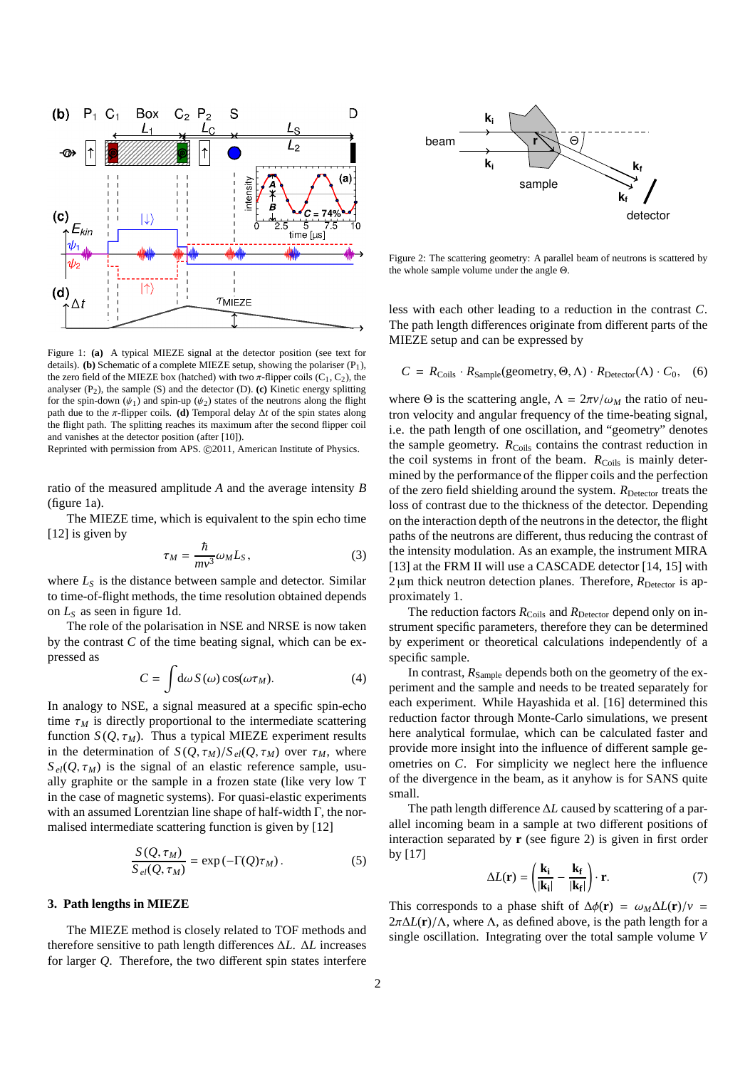

Figure 1: **(a)** A typical MIEZE signal at the detector position (see text for details). **(b)** Schematic of a complete MIEZE setup, showing the polariser (P<sub>1</sub>), the zero field of the MIEZE box (hatched) with two  $\pi$ -flipper coils (C<sub>1</sub>, C<sub>2</sub>), the analyser  $(P_2)$ , the sample  $(S)$  and the detector  $(D)$ .  $(c)$  Kinetic energy splitting for the spin-down  $(\psi_1)$  and spin-up  $(\psi_2)$  states of the neutrons along the flight path due to the  $\pi$ -flipper coils. **(d)** Temporal delay  $\Delta t$  of the spin states along the flight path. The splitting reaches its maximum after the second flipper coil and vanishes at the detector position (after [10]).

Reprinted with permission from APS. ©2011, American Institute of Physics.

ratio of the measured amplitude *A* and the average intensity *B* (figure 1a).

The MIEZE time, which is equivalent to the spin echo time [12] is given by

$$
\tau_M = \frac{\hbar}{mv^3} \omega_M L_S, \qquad (3)
$$

where  $L<sub>S</sub>$  is the distance between sample and detector. Similar to time-of-flight methods, the time resolution obtained depends on *L<sup>S</sup>* as seen in figure 1d.

The role of the polarisation in NSE and NRSE is now taken by the contrast *C* of the time beating signal, which can be expressed as

$$
C = \int d\omega \, S(\omega) \cos(\omega \tau_M). \tag{4}
$$

In analogy to NSE, a signal measured at a specific spin-echo time  $\tau_M$  is directly proportional to the intermediate scattering function  $S(Q, \tau_M)$ . Thus a typical MIEZE experiment results in the determination of  $S(Q, \tau_M)/S_{el}(Q, \tau_M)$  over  $\tau_M$ , where  $S_{el}(Q, \tau_M)$  is the signal of an elastic reference sample, usually graphite or the sample in a frozen state (like very low T in the case of magnetic systems). For quasi-elastic experiments with an assumed Lorentzian line shape of half-width Γ, the normalised intermediate scattering function is given by [12]

$$
\frac{S(Q, \tau_M)}{S_{el}(Q, \tau_M)} = \exp(-\Gamma(Q)\tau_M). \tag{5}
$$

#### **3. Path lengths in MIEZE**

The MIEZE method is closely related to TOF methods and therefore sensitive to path length differences ∆*L*. ∆*L* increases for larger *Q*. Therefore, the two different spin states interfere



Figure 2: The scattering geometry: A parallel beam of neutrons is scattered by the whole sample volume under the angle Θ.

less with each other leading to a reduction in the contrast *C*. The path length differences originate from different parts of the MIEZE setup and can be expressed by

$$
C = R_{\text{Coils}} \cdot R_{\text{Sample}}(\text{geometry}, \Theta, \Lambda) \cdot R_{\text{detector}}(\Lambda) \cdot C_0, \quad (6)
$$

where  $\Theta$  is the scattering angle,  $\Lambda = 2\pi v/\omega_M$  the ratio of neutron velocity and angular frequency of the time-beating signal, i.e. the path length of one oscillation, and "geometry" denotes the sample geometry. *R*<sub>Coils</sub> contains the contrast reduction in the coil systems in front of the beam. *R*<sub>Coils</sub> is mainly determined by the performance of the flipper coils and the perfection of the zero field shielding around the system.  $R_{\text{Deector}}$  treats the loss of contrast due to the thickness of the detector. Depending on the interaction depth of the neutrons in the detector, the flight paths of the neutrons are different, thus reducing the contrast of the intensity modulation. As an example, the instrument MIRA [13] at the FRM II will use a CASCADE detector [14, 15] with  $2 \mu m$  thick neutron detection planes. Therefore,  $R_{\text{Detector}}$  is approximately 1.

The reduction factors  $R_{\text{Coils}}$  and  $R_{\text{Detector}}$  depend only on instrument specific parameters, therefore they can be determined by experiment or theoretical calculations independently of a specific sample.

In contrast,  $R_{Sample}$  depends both on the geometry of the experiment and the sample and needs to be treated separately for each experiment. While Hayashida et al. [16] determined this reduction factor through Monte-Carlo simulations, we present here analytical formulae, which can be calculated faster and provide more insight into the influence of different sample geometries on *C*. For simplicity we neglect here the influence of the divergence in the beam, as it anyhow is for SANS quite small.

The path length difference ∆*L* caused by scattering of a parallel incoming beam in a sample at two different positions of interaction separated by **r** (see figure 2) is given in first order by [17]

$$
\Delta L(\mathbf{r}) = \left(\frac{\mathbf{k}_i}{|\mathbf{k}_i|} - \frac{\mathbf{k}_f}{|\mathbf{k}_f|}\right) \cdot \mathbf{r}.\tag{7}
$$

This corresponds to a phase shift of  $\Delta\phi(\mathbf{r}) = \omega_M \Delta L(\mathbf{r})/v$  $2\pi\Delta L(\mathbf{r})/\Lambda$ , where  $\Lambda$ , as defined above, is the path length for a single oscillation. Integrating over the total sample volume *V*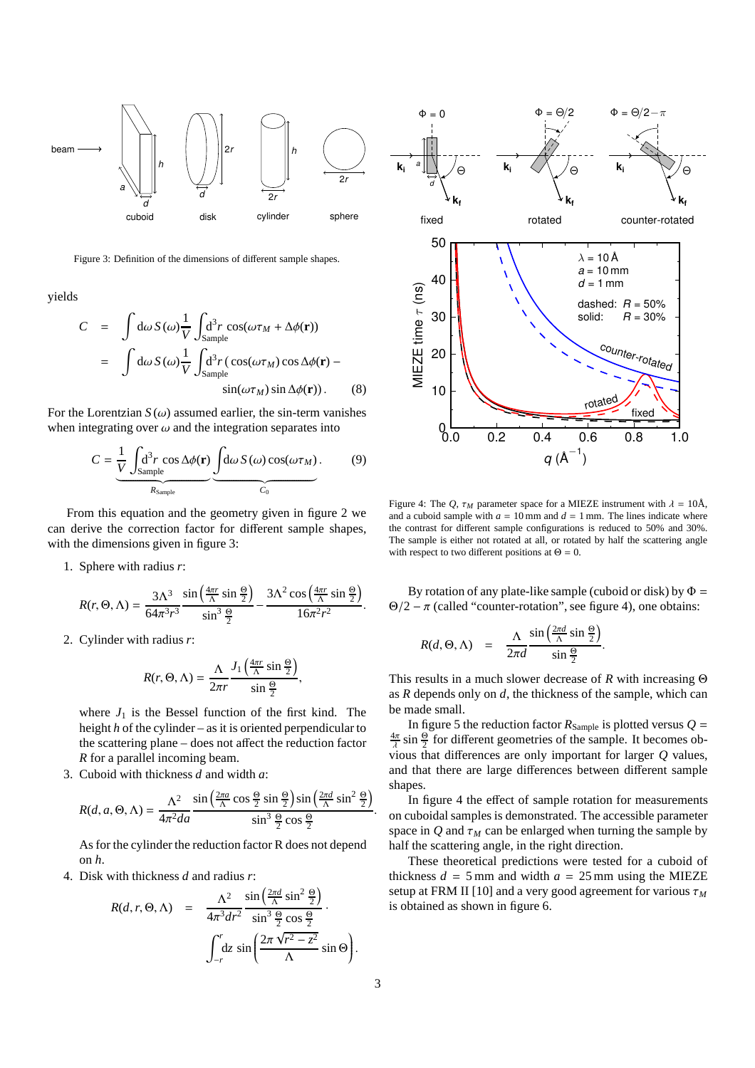

Figure 3: Definition of the dimensions of different sample shapes.

yields

$$
C = \int d\omega S(\omega) \frac{1}{V} \int_{\text{Sample}} d^3 r \cos(\omega \tau_M + \Delta \phi(\mathbf{r}))
$$
  
= 
$$
\int d\omega S(\omega) \frac{1}{V} \int_{\text{Sample}} d^3 r (\cos(\omega \tau_M) \cos \Delta \phi(\mathbf{r}) - \sin(\omega \tau_M) \sin \Delta \phi(\mathbf{r})).
$$
 (8)

For the Lorentzian  $S(\omega)$  assumed earlier, the sin-term vanishes when integrating over  $\omega$  and the integration separates into

$$
C = \underbrace{\frac{1}{V} \int_{\text{Sample}} d^3 r \cos \Delta \phi(\mathbf{r})}_{R_{\text{Sample}}} \underbrace{\int d\omega S(\omega) \cos(\omega \tau_M)}_{C_0}.
$$
 (9)

From this equation and the geometry given in figure 2 we can derive the correction factor for different sample shapes, with the dimensions given in figure 3:

1. Sphere with radius *r*:

$$
R(r, \Theta, \Lambda) = \frac{3\Lambda^3}{64\pi^3 r^3} \frac{\sin\left(\frac{4\pi r}{\Lambda}\sin\frac{\Theta}{2}\right)}{\sin^3\frac{\Theta}{2}} - \frac{3\Lambda^2 \cos\left(\frac{4\pi r}{\Lambda}\sin\frac{\Theta}{2}\right)}{16\pi^2 r^2}.
$$

2. Cylinder with radius *r*:

$$
R(r, \Theta, \Lambda) = \frac{\Lambda}{2\pi r} \frac{J_1\left(\frac{4\pi r}{\Lambda}\sin\frac{\Theta}{2}\right)}{\sin\frac{\Theta}{2}},
$$

where  $J_1$  is the Bessel function of the first kind. The height *h* of the cylinder – as it is oriented perpendicular to the scattering plane – does not affect the reduction factor *R* for a parallel incoming beam.

3. Cuboid with thickness *d* and width *a*:

$$
R(d, a, \Theta, \Lambda) = \frac{\Lambda^2}{4\pi^2 da} \frac{\sin\left(\frac{2\pi a}{\Lambda}\cos\frac{\Theta}{2}\sin\frac{\Theta}{2}\right)\sin\left(\frac{2\pi d}{\Lambda}\sin^2\frac{\Theta}{2}\right)}{\sin^3\frac{\Theta}{2}\cos\frac{\Theta}{2}}.
$$

As for the cylinder the reduction factor R does not depend on *h*.

4. Disk with thickness *d* and radius *r*:

$$
R(d, r, \Theta, \Lambda) = \frac{\Lambda^2}{4\pi^3 dr^2} \frac{\sin\left(\frac{2\pi d}{\Lambda} \sin^2 \frac{\Theta}{2}\right)}{\sin^3 \frac{\Theta}{2} \cos \frac{\Theta}{2}}.
$$

$$
\int_{-r}^{r} dz \sin\left(\frac{2\pi \sqrt{r^2 - z^2}}{\Lambda} \sin \Theta\right).
$$



Figure 4: The *Q*,  $\tau_M$  parameter space for a MIEZE instrument with  $\lambda = 10$ Å, and a cuboid sample with  $a = 10$  mm and  $d = 1$  mm. The lines indicate where the contrast for different sample configurations is reduced to 50% and 30%. The sample is either not rotated at all, or rotated by half the scattering angle with respect to two different positions at  $\Theta = 0$ .

0.0 0.2 0.4 0.6 0.8 1.0  $q(\text{\AA}^{-1})$ 

By rotation of any plate-like sample (cuboid or disk) by  $\Phi =$  $\Theta/2 - \pi$  (called "counter-rotation", see figure 4), one obtains:

$$
R(d, \Theta, \Lambda) = \frac{\Lambda}{2\pi d} \frac{\sin\left(\frac{2\pi d}{\Lambda} \sin\frac{\Theta}{2}\right)}{\sin\frac{\Theta}{2}}
$$

This results in a much slower decrease of *R* with increasing Θ as *R* depends only on *d*, the thickness of the sample, which can be made small.

.

In figure 5 the reduction factor  $R_{Sample}$  is plotted versus  $Q =$  $\frac{4\pi}{\lambda}$  sin  $\frac{\Theta}{2}$  for different geometries of the sample. It becomes obvious that differences are only important for larger *Q* values, and that there are large differences between different sample shapes.

In figure 4 the effect of sample rotation for measurements on cuboidal samples is demonstrated. The accessible parameter space in  $Q$  and  $\tau_M$  can be enlarged when turning the sample by half the scattering angle, in the right direction.

These theoretical predictions were tested for a cuboid of thickness  $d = 5$  mm and width  $a = 25$  mm using the MIEZE setup at FRM II [10] and a very good agreement for various τ*<sup>M</sup>* is obtained as shown in figure 6.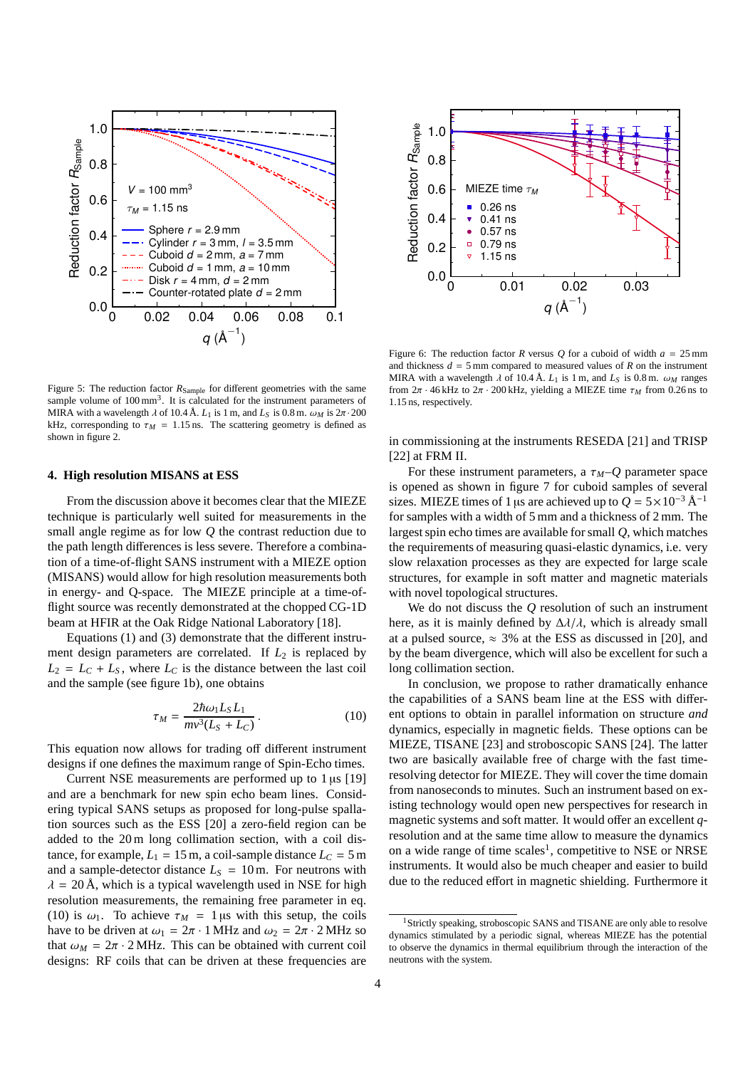

Figure 5: The reduction factor  $R_{Sample}$  for different geometries with the same sample volume of  $100 \text{ mm}^3$ . It is calculated for the instrument parameters of MIRA with a wavelength  $\lambda$  of 10.4 Å.  $L_1$  is 1 m, and  $L_S$  is 0.8 m.  $\omega_M$  is  $2\pi \cdot 200$ kHz, corresponding to  $\tau_M = 1.15$  ns. The scattering geometry is defined as shown in figure 2.

#### **4. High resolution MISANS at ESS**

From the discussion above it becomes clear that the MIEZE technique is particularly well suited for measurements in the small angle regime as for low *Q* the contrast reduction due to the path length differences is less severe. Therefore a combination of a time-of-flight SANS instrument with a MIEZE option (MISANS) would allow for high resolution measurements both in energy- and Q-space. The MIEZE principle at a time-offlight source was recently demonstrated at the chopped CG-1D beam at HFIR at the Oak Ridge National Laboratory [18].

Equations (1) and (3) demonstrate that the different instrument design parameters are correlated. If  $L_2$  is replaced by  $L_2 = L_C + L_S$ , where  $L_C$  is the distance between the last coil and the sample (see figure 1b), one obtains

$$
\tau_M = \frac{2\hbar\omega_1 L_S L_1}{mv^3 (L_S + L_C)}.
$$
\n(10)

This equation now allows for trading off different instrument designs if one defines the maximum range of Spin-Echo times.

Current NSE measurements are performed up to  $1 \mu s$  [19] and are a benchmark for new spin echo beam lines. Considering typical SANS setups as proposed for long-pulse spallation sources such as the ESS [20] a zero-field region can be added to the 20 m long collimation section, with a coil distance, for example,  $L_1 = 15$  m, a coil-sample distance  $L_C = 5$  m and a sample-detector distance  $L<sub>S</sub> = 10$  m. For neutrons with  $\lambda = 20$  Å, which is a typical wavelength used in NSE for high resolution measurements, the remaining free parameter in eq. (10) is  $\omega_1$ . To achieve  $\tau_M = 1 \,\mu s$  with this setup, the coils have to be driven at  $\omega_1 = 2\pi \cdot 1$  MHz and  $\omega_2 = 2\pi \cdot 2$  MHz so that  $\omega_M = 2\pi \cdot 2$  MHz. This can be obtained with current coil designs: RF coils that can be driven at these frequencies are



Figure 6: The reduction factor *R* versus *Q* for a cuboid of width  $a = 25$  mm and thickness  $d = 5$  mm compared to measured values of  $R$  on the instrument MIRA with a wavelength  $\lambda$  of 10.4 Å.  $L_1$  is 1 m, and  $L_S$  is 0.8 m.  $\omega_M$  ranges from  $2\pi \cdot 46$  kHz to  $2\pi \cdot 200$  kHz, yielding a MIEZE time  $\tau_M$  from 0.26 ns to 1.15 ns, respectively.

in commissioning at the instruments RESEDA [21] and TRISP [22] at FRM II.

For these instrument parameters, a  $\tau_M$ – $Q$  parameter space is opened as shown in figure 7 for cuboid samples of several sizes. MIEZE times of 1 µs are achieved up to  $Q = 5 \times 10^{-3} \text{ Å}^{-1}$ for samples with a width of 5 mm and a thickness of 2 mm. The largest spin echo times are available for small *Q*, which matches the requirements of measuring quasi-elastic dynamics, i.e. very slow relaxation processes as they are expected for large scale structures, for example in soft matter and magnetic materials with novel topological structures.

We do not discuss the *Q* resolution of such an instrument here, as it is mainly defined by  $\Delta \lambda / \lambda$ , which is already small at a pulsed source,  $\approx$  3% at the ESS as discussed in [20], and by the beam divergence, which will also be excellent for such a long collimation section.

In conclusion, we propose to rather dramatically enhance the capabilities of a SANS beam line at the ESS with different options to obtain in parallel information on structure *and* dynamics, especially in magnetic fields. These options can be MIEZE, TISANE [23] and stroboscopic SANS [24]. The latter two are basically available free of charge with the fast timeresolving detector for MIEZE. They will cover the time domain from nanoseconds to minutes. Such an instrument based on existing technology would open new perspectives for research in magnetic systems and soft matter. It would offer an excellent *q*resolution and at the same time allow to measure the dynamics on a wide range of time scales<sup>1</sup>, competitive to NSE or NRSE instruments. It would also be much cheaper and easier to build due to the reduced effort in magnetic shielding. Furthermore it

<sup>&</sup>lt;sup>1</sup>Strictly speaking, stroboscopic SANS and TISANE are only able to resolve dynamics stimulated by a periodic signal, whereas MIEZE has the potential to observe the dynamics in thermal equilibrium through the interaction of the neutrons with the system.